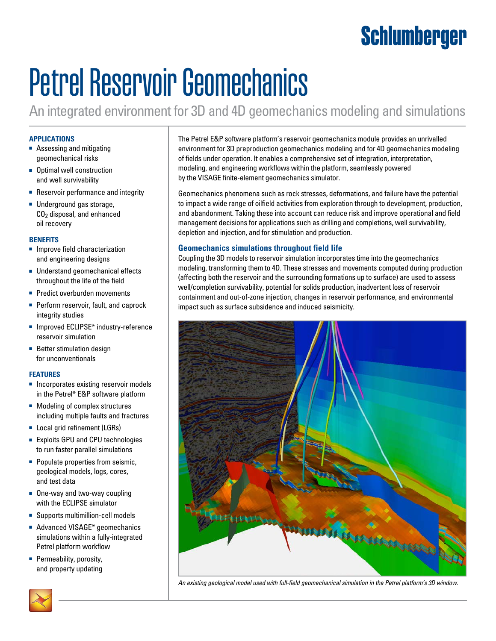## Schlumberger

# Petrel Reservoir Geomechanics

An integrated environment for 3D and 4D geomechanics modeling and simulations

#### **APPLICATIONS**

- Assessing and mitigating geomechanical risks
- Optimal well construction and well survivability
- Reservoir performance and integrity
- Underground gas storage, CO2 disposal, and enhanced oil recovery

#### **BENEFITS**

- Improve field characterization and engineering designs
- Understand geomechanical effects throughout the life of the field
- Predict overburden movements
- Perform reservoir, fault, and caprock integrity studies
- Improved ECLIPSE<sup>\*</sup> industry-reference reservoir simulation
- Better stimulation design for unconventionals

#### **FEATURES**

- Incorporates existing reservoir models in the Petrel\* E&P software platform
- Modeling of complex structures including multiple faults and fractures
- Local grid refinement (LGRs)
- Exploits GPU and CPU technologies to run faster parallel simulations
- Populate properties from seismic, geological models, logs, cores, and test data
- One-way and two-way coupling with the ECLIPSE simulator
- Supports multimillion-cell models
- Advanced VISAGE<sup>\*</sup> geomechanics simulations within a fully-integrated Petrel platform workflow
- Permeability, porosity, and property updating

The Petrel E&P software platform's reservoir geomechanics module provides an unrivalled environment for 3D preproduction geomechanics modeling and for 4D geomechanics modeling of fields under operation. It enables a comprehensive set of integration, interpretation, modeling, and engineering workflows within the platform, seamlessly powered by the VISAGE finite-element geomechanics simulator.

Geomechanics phenomena such as rock stresses, deformations, and failure have the potential to impact a wide range of oilfield activities from exploration through to development, production, and abandonment. Taking these into account can reduce risk and improve operational and field management decisions for applications such as drilling and completions, well survivability, depletion and injection, and for stimulation and production.

#### **Geomechanics simulations throughout field life**

Coupling the 3D models to reservoir simulation incorporates time into the geomechanics modeling, transforming them to 4D. These stresses and movements computed during production (affecting both the reservoir and the surrounding formations up to surface) are used to assess well/completion survivability, potential for solids production, inadvertent loss of reservoir containment and out-of-zone injection, changes in reservoir performance, and environmental impact such as surface subsidence and induced seismicity.



*An existing geological model used with full-field geomechanical simulation in the Petrel platform's 3D window.*

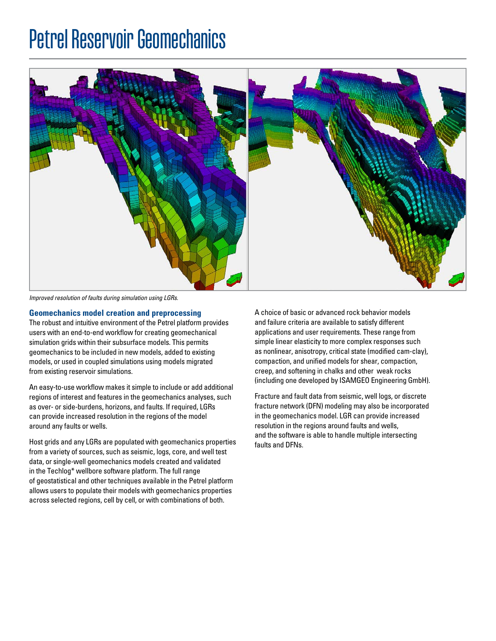### Petrel Reservoir Geomechanics



*Improved resolution of faults during simulation using LGRs.*

#### **Geomechanics model creation and preprocessing**

The robust and intuitive environment of the Petrel platform provides users with an end-to-end workflow for creating geomechanical simulation grids within their subsurface models. This permits geomechanics to be included in new models, added to existing models, or used in coupled simulations using models migrated from existing reservoir simulations.

An easy-to-use workflow makes it simple to include or add additional regions of interest and features in the geomechanics analyses, such as over- or side-burdens, horizons, and faults. If required, LGRs can provide increased resolution in the regions of the model around any faults or wells.

Host grids and any LGRs are populated with geomechanics properties from a variety of sources, such as seismic, logs, core, and well test data, or single-well geomechanics models created and validated in the Techlog\* wellbore software platform. The full range of geostatistical and other techniques available in the Petrel platform allows users to populate their models with geomechanics properties across selected regions, cell by cell, or with combinations of both.

A choice of basic or advanced rock behavior models and failure criteria are available to satisfy different applications and user requirements. These range from simple linear elasticity to more complex responses such as nonlinear, anisotropy, critical state (modified cam-clay), compaction, and unified models for shear, compaction, creep, and softening in chalks and other weak rocks (including one developed by ISAMGEO Engineering GmbH).

Fracture and fault data from seismic, well logs, or discrete fracture network (DFN) modeling may also be incorporated in the geomechanics model. LGR can provide increased resolution in the regions around faults and wells, and the software is able to handle multiple intersecting faults and DFNs.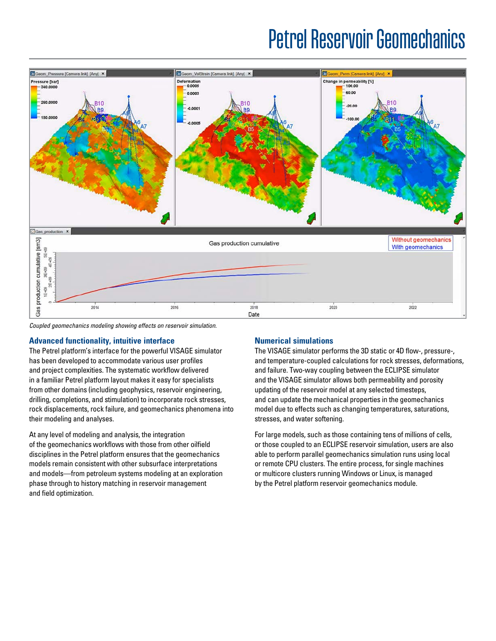### Petrel Reservoir Geomechanics



*Coupled geomechanics modeling showing effects on reservoir simulation.*

#### **Advanced functionality, intuitive interface**

The Petrel platform's interface for the powerful VISAGE simulator has been developed to accommodate various user profiles and project complexities. The systematic workflow delivered in a familiar Petrel platform layout makes it easy for specialists from other domains (including geophysics, reservoir engineering, drilling, completions, and stimulation) to incorporate rock stresses, rock displacements, rock failure, and geomechanics phenomena into their modeling and analyses.

At any level of modeling and analysis, the integration of the geomechanics workflows with those from other oilfield disciplines in the Petrel platform ensures that the geomechanics models remain consistent with other subsurface interpretations and models—from petroleum systems modeling at an exploration phase through to history matching in reservoir management and field optimization.

#### **Numerical simulations**

The VISAGE simulator performs the 3D static or 4D flow-, pressure-, and temperature-coupled calculations for rock stresses, deformations, and failure. Two-way coupling between the ECLIPSE simulator and the VISAGE simulator allows both permeability and porosity updating of the reservoir model at any selected timesteps, and can update the mechanical properties in the geomechanics model due to effects such as changing temperatures, saturations, stresses, and water softening.

For large models, such as those containing tens of millions of cells, or those coupled to an ECLIPSE reservoir simulation, users are also able to perform parallel geomechanics simulation runs using local or remote CPU clusters. The entire process, for single machines or multicore clusters running Windows or Linux, is managed by the Petrel platform reservoir geomechanics module.